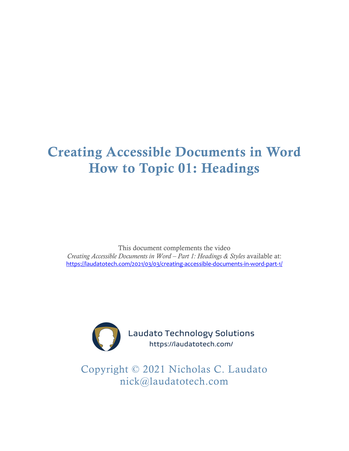# Creating Accessible Documents in Word How to Topic 01: Headings

This document complements the video *Creating Accessible Documents in Word – Part 1: Headings & Styles* available at: <https://laudatotech.com/2021/03/03/creating-accessible-documents-in-word-part-1/>



Laudato Technology Solutions https://laudatotech.com/

Copyright © 2021 Nicholas C. Laudato nick@laudatotech.com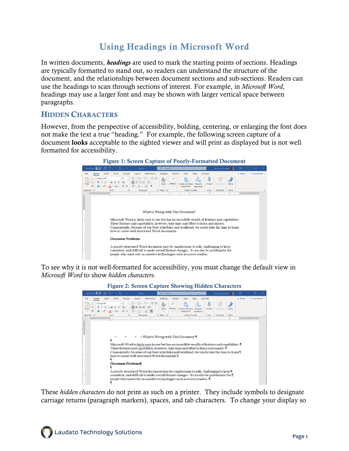# Using Headings in Microsoft Word

In written documents, *headings* are used to mark the starting points of sections. Headings are typically formatted to stand out, so readers can understand the structure of the document, and the relationships between document sections and sub-sections. Readers can use the headings to scan through sections of interest. For example, in *Microsoft Word*, headings may use a larger font and may be shown with larger vertical space between paragraphs.

### **HIDDEN CHARACTERS**

However, from the perspective of accessibility, bolding, centering, or enlarging the font does not make the text a true "heading." For example, the following screen capture of a document looks acceptable to the sighted viewer and will print as displayed but is not well formatted for accessibility.



#### Figure 1: Screen Capture of Poorly-Formatted Document

To see why it is not well-formatted for accessibility, you must change the default view in *Microsoft Word* to show *hidden characters*.



These *hidden characters* do not print as such on a printer. They include symbols to designate carriage returns (paragraph markers), spaces, and tab characters. To change your display so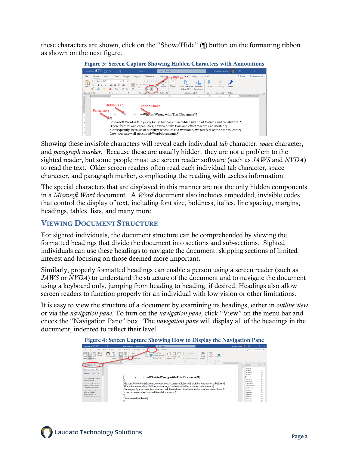these characters are shown, click on the "Show/Hide" (¶) button on the formatting ribbon as shown on the next figure.



Showing these invisible characters will reveal each individual *tab* character, *space* character, and *paragraph marker*. Because these are usually hidden, they are not a problem to the sighted reader, but some people must use screen reader software (such as *JAWS* and *NVDA*) to read the text. Older screen readers often read each individual tab character, space character, and paragraph marker, complicating the reading with useless information.

The special characters that are displayed in this manner are not the only hidden components in a *Microsoft Word* document. A *Word* document also includes embedded, invisible codes that control the display of text, including font size, boldness, italics, line spacing, margins, headings, tables, lists, and many more.

# VIEWING DOCUMENT STRUCTURE

For sighted individuals, the document structure can be comprehended by viewing the formatted headings that divide the document into sections and sub-sections. Sighted individuals can use these headings to navigate the document, skipping sections of limited interest and focusing on those deemed more important.

Similarly, properly formatted headings can enable a person using a screen reader (such as *JAWS* or *NVDA*) to understand the structure of the document and to navigate the document using a keyboard only, jumping from heading to heading, if desired. Headings also allow screen readers to function properly for an individual with low vision or other limitations.

It is easy to view the structure of a document by examining its headings, either in *outline view* or via the *navigation pane*. To turn on the *navigation pane*, click "View" on the menu bar and check the "Navigation Pane" box. The *navigation pane* will display all of the headings in the document, indented to reflect their level.

| AutoSave <b>CO</b> F<br>$9 - 7$                                                                                                                                                                                                                                                                                                                                           | Word-Wrong.docx - Saved to this PC +                                                                                    | C Search                                                                                                                                                                                                                                                                                                                      |                                                                                                                            |                                                                         | Nicholas Laudato | m                                                                                                                                                                                                                                   | $\Box$                                                                               |
|---------------------------------------------------------------------------------------------------------------------------------------------------------------------------------------------------------------------------------------------------------------------------------------------------------------------------------------------------------------------------|-------------------------------------------------------------------------------------------------------------------------|-------------------------------------------------------------------------------------------------------------------------------------------------------------------------------------------------------------------------------------------------------------------------------------------------------------------------------|----------------------------------------------------------------------------------------------------------------------------|-------------------------------------------------------------------------|------------------|-------------------------------------------------------------------------------------------------------------------------------------------------------------------------------------------------------------------------------------|--------------------------------------------------------------------------------------|
| Design<br>Insert<br>Draw                                                                                                                                                                                                                                                                                                                                                  | Mailings<br>Review<br>References<br>Lavord                                                                              | Acrobat<br>lato.<br>View                                                                                                                                                                                                                                                                                                      |                                                                                                                            |                                                                         |                  | A Share                                                                                                                                                                                                                             | C Comments                                                                           |
| $\Box$ Outline<br>巨崩<br>$\Box$ Draft<br>Print<br>Web<br>Focus Immersive<br>Read<br>Mode Layout Layout<br>Reader<br>Views<br>Inneg<br><b>The comment of the Comment of the Comment of the Comment of the Comment of the Comment of the Comment of the Comment of the Comment of the Comment of the Comment of the Comment of the Comment of the Comment of the Comment</b> | Duler<br>Zoom 100%<br>Side<br>vigation Pane<br>$4 - 51$<br>Page Movement<br>Show<br>ALCOHOL: NO<br><b>Service</b> State | <b>TT</b> One Page<br><b>EE Multiple Pages</b><br>Arrange Split<br>Page Width<br>Wodow<br>A1<br>$Z$ oom<br>(ま)の (の) とうしん こうしん アイティング きんかん しんかい すいかん こうかん いちかい かしょう かんき はつばん スインター・スイ                                                                                                                                          | <b>CD</b> View Side by Side<br>٣<br>ID Synchronous Scrolling<br>Switch<br>Pin Reset Window Position<br>Windows ><br>Window | 鵖<br>厨<br>Macros<br>Properties<br>$\sim$<br><b>Macros</b><br>SharePoint | ٠                |                                                                                                                                                                                                                                     |                                                                                      |
| Navigati                                                                                                                                                                                                                                                                                                                                                                  |                                                                                                                         |                                                                                                                                                                                                                                                                                                                               |                                                                                                                            |                                                                         |                  | <b>Styles</b>                                                                                                                                                                                                                       | $\times$<br>×                                                                        |
| Search document Q -<br><b>Headings</b><br>Pages<br>Create an interactive outline<br>of your document.<br>It's a creat way to losep track<br>of where you are or quickly<br>move your content around.<br>To get started, go to the<br><b>ALC</b><br>Home tab and apply.<br>Heading styles to the<br>headings in your document.                                             | $\rightarrow$<br>→<br>$\rightarrow$<br>how-to-create-well-structured-Word-documents.<br>Document Problems               | What is Wrong with This Document?<br>Microsoft Word is fairly easy to use but has an incredible wealth of features and capabilities. I<br>These features and capabilities, however, take time and effort to learn and master.<br>Consequently, because of our busy schedules and workload, we rarely take the time to learn 1 |                                                                                                                            |                                                                         |                  | Clear All<br><b>Bulleted</b><br><b>Bulleted 2</b><br>Indented<br>Normal<br>Numbered<br>Numbered 2<br>Table Body<br>Table Heading<br>No Spacing<br><b>Heading 1</b><br>Heading 2<br>Heading 3<br>Heading 4<br>Heading 5<br>Heading 6 | 22<br>53<br>53<br>53<br>23<br>53<br>53<br>T<br>23<br>53<br>53<br>53<br>$^{22}$<br>13 |

Figure 4: Screen Capture Showing How to Display the Navigation Pane

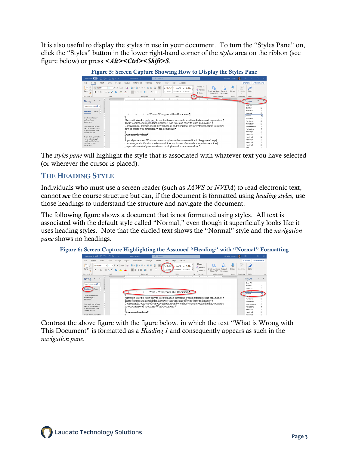It is also useful to display the styles in use in your document. To turn the "Styles Pane" on, click the "Styles" button in the lower right-hand corner of the *styles* area on the ribbon (see figure below) or press *<Alt><Ctrl><Shift>S*.

| <b>Figure 5: Screen Capture Showing How to Display the Styles Pane</b> |                                                                                                                                                                                                                                                                                                                                                                                                                                                                                                             |                                                    |                   |  |  |  |  |  |  |
|------------------------------------------------------------------------|-------------------------------------------------------------------------------------------------------------------------------------------------------------------------------------------------------------------------------------------------------------------------------------------------------------------------------------------------------------------------------------------------------------------------------------------------------------------------------------------------------------|----------------------------------------------------|-------------------|--|--|--|--|--|--|
| $\left($ off)<br>凰<br>AutoSave                                         | $5 - 718 -$<br>Word-Wron -<br>Nicholas Laudato<br>Search                                                                                                                                                                                                                                                                                                                                                                                                                                                    | $\Box$<br>m                                        |                   |  |  |  |  |  |  |
| File<br>Home<br>Insert                                                 | Mailings<br>Draw<br>Design<br>References<br>Review<br>Help<br>Acrobat<br>Lavout<br>View                                                                                                                                                                                                                                                                                                                                                                                                                     | i <sup>o</sup> Share                               | <b>D</b> Comments |  |  |  |  |  |  |
| m<br>Calisto MT<br>Paste<br>∢<br>Clipboard <sub>5</sub>                | $D$ Find $\sim$<br>拍・拍・拍・   理理   21   前<br>$\sim$ 12 $\sim$ A <sup>*</sup> A <sup>*</sup> Aa <sup>*</sup> A <sub>2</sub><br>؊<br>AaBbCc 1. AaBb a. AaBb -<br>c <sub>2</sub> . Replace<br>Create and Share<br>Dictate<br>Request<br><b>B</b> $I \perp \rightarrow \Rightarrow x, x' \parallel A \rightarrow \emptyset \rightarrow A \rightarrow$<br>国事者書は、「么、田、<br>T Normal<br>Numbered Numbere<br>D Select ~<br>Adobe PDF<br>Signatures<br>Adobe Acrobat<br>Voice<br>Font<br>Styles<br>www.com<br>Paragraph | Æ<br>Sensitivit<br>Editor<br>Sensitivity<br>Editor |                   |  |  |  |  |  |  |
| $\times$                                                               | 1 <b>.</b>                                                                                                                                                                                                                                                                                                                                                                                                                                                                                                  |                                                    |                   |  |  |  |  |  |  |
| Navig                                                                  |                                                                                                                                                                                                                                                                                                                                                                                                                                                                                                             | <b>Styles</b>                                      |                   |  |  |  |  |  |  |
| Search documer Q ~                                                     |                                                                                                                                                                                                                                                                                                                                                                                                                                                                                                             | Clear All<br>Bulleted                              | T3                |  |  |  |  |  |  |
|                                                                        |                                                                                                                                                                                                                                                                                                                                                                                                                                                                                                             | Bulleted 2                                         | T3                |  |  |  |  |  |  |
| Pages<br><b>Headings</b>                                               | Indented                                                                                                                                                                                                                                                                                                                                                                                                                                                                                                    | 53                                                 |                   |  |  |  |  |  |  |
|                                                                        | What is Wrong with This Document? I                                                                                                                                                                                                                                                                                                                                                                                                                                                                         | Normal                                             | T                 |  |  |  |  |  |  |
| Create an interactive                                                  |                                                                                                                                                                                                                                                                                                                                                                                                                                                                                                             | Numbered                                           | 53                |  |  |  |  |  |  |
| outline of your<br>document.                                           | Microsoft Word is fairly easy to use but has an incredible wealth of features and capabilities. I                                                                                                                                                                                                                                                                                                                                                                                                           |                                                    |                   |  |  |  |  |  |  |
|                                                                        | These features and capabilities, however, take time and effort to learn and master. I                                                                                                                                                                                                                                                                                                                                                                                                                       | Table Body                                         | 53                |  |  |  |  |  |  |
| It's a great way to keep                                               | Consequently, because of our busy schedules and workload, we rarely take the time to learn T                                                                                                                                                                                                                                                                                                                                                                                                                | Table Heading                                      | 13                |  |  |  |  |  |  |
| track of where you are<br>or quickly move your                         | how-to-create-well-structured-Word-documents.                                                                                                                                                                                                                                                                                                                                                                                                                                                               | No Spacing                                         |                   |  |  |  |  |  |  |
| content around.                                                        |                                                                                                                                                                                                                                                                                                                                                                                                                                                                                                             | Heading 1                                          | 53                |  |  |  |  |  |  |
|                                                                        | Document Problems¶                                                                                                                                                                                                                                                                                                                                                                                                                                                                                          | Heading 2                                          | 53                |  |  |  |  |  |  |
| To get started, go to the                                              |                                                                                                                                                                                                                                                                                                                                                                                                                                                                                                             | Heading 3                                          | T3                |  |  |  |  |  |  |
| Home tab and apply<br>Heading styles to the                            | A-poorly-structured-Word-document-may-be-cumbersome-to-edit,-challenging-to-keep-1                                                                                                                                                                                                                                                                                                                                                                                                                          | Heading 4<br>Heading 5                             | 53<br>53          |  |  |  |  |  |  |
| headings in your<br><b>CALL</b>                                        | consistent, and difficult to make overall format changes. It can also be problematic for                                                                                                                                                                                                                                                                                                                                                                                                                    |                                                    |                   |  |  |  |  |  |  |
| document.                                                              | people who must rely on assistive technologies such as screen readers. I                                                                                                                                                                                                                                                                                                                                                                                                                                    | Heading 6                                          | £3                |  |  |  |  |  |  |
|                                                                        |                                                                                                                                                                                                                                                                                                                                                                                                                                                                                                             | Title.                                             | ٣ä                |  |  |  |  |  |  |

The *styles pane* will highlight the style that is associated with whatever text you have selected (or wherever the cursor is placed).

# THE HEADING STYLE

Individuals who must use a screen reader (such as *JAWS* or *NVDA*) to read electronic text, cannot *see* the course structure but can, if the document is formatted using *heading styles*, use those headings to understand the structure and navigate the document.

The following figure shows a document that is not formatted using styles. All text is associated with the default style called "Normal," even though it superficially looks like it uses heading styles. Note that the circled text shows the "Normal" style and the *navigation pane* shows no headings.



Contrast the above figure with the figure below, in which the text "What is Wrong with This Document" is formatted as a *Heading 1* and consequently appears as such in the *navigation pane*.